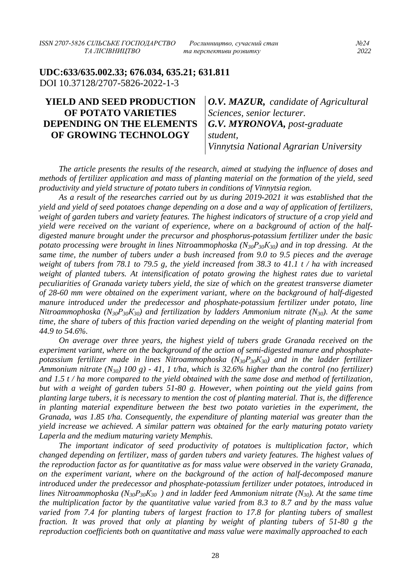*ISSN 2707-5826 СІЛЬСЬКЕ ГОСПОДАРСТВО Рослинництво, сучасний стан №24*

**UDC:633/635.002.33; 676.034, 635.21; 631.811** DOI 10.37128/2707-5826-2022-1-3

# **YIELD AND SEED PRODUCTION OF POTATO VARIETIES DEPENDING ON THE ELEMENTS OF GROWING TECHNOLOGY**

*O.V. MAZUR, candidate of Agricultural Sciences, senior lecturer. G.V. MYRONOVA, post-graduate student, Vinnytsia National Agrarian University*

*The article presents the results of the research, aimed at studying the influence of doses and methods of fertilizer application and mass of planting material on the formation of the yield, seed productivity and yield structure of potato tubers in conditions of Vinnytsia region.*

*As a result of the researches carried out by us during 2019-2021 it was established that the yield and yield of seed potatoes change depending on a dose and a way of application of fertilizers, weight of garden tubers and variety features. The highest indicators of structure of a crop yield and yield were received on the variant of experience, where on a background of action of the halfdigested manure brought under the precursor and phosphorus-potassium fertilizer under the basic potato processing were brought in lines Nitroammophoska (N30Р30К30) and in top dressing. At the same time, the number of tubers under a bush increased from 9.0 to 9.5 pieces and the average weight of tubers from 78.1 to 79.5 g, the yield increased from 38.3 to 41.1 t / ha with increased weight of planted tubers. At intensification of potato growing the highest rates due to varietal peculiarities of Granada variety tubers yield, the size of which on the greatest transverse diameter of 28-60 mm were obtained on the experiment variant, where on the background of half-digested manure introduced under the predecessor and phosphate-potassium fertilizer under potato, line Nitroammophoska (N30Р30К30) and fertilization by ladders Ammonium nitrate (N30). At the same time, the share of tubers of this fraction varied depending on the weight of planting material from 44.9 to 54.6%.*

*On average over three years, the highest yield of tubers grade Granada received on the experiment variant, where on the background of the action of semi-digested manure and phosphatepotassium fertilizer made in lines Nitroammophoska (N30Р30К30) and in the ladder fertilizer Ammonium nitrate (N30) 100 g) - 41, 1 t/ha, which is 32.6% higher than the control (no fertilizer) and 1.5 t / ha more compared to the yield obtained with the same dose and method of fertilization, but with a weight of garden tubers 51-80 g. However, when pointing out the yield gains from planting large tubers, it is necessary to mention the cost of planting material. That is, the difference in planting material expenditure between the best two potato varieties in the experiment, the Granada, was 1.85 t/ha. Consequently, the expenditure of planting material was greater than the yield increase we achieved. A similar pattern was obtained for the early maturing potato variety Laperla and the medium maturing variety Memphis.*

*The important indicator of seed productivity of potatoes is multiplication factor, which changed depending on fertilizer, mass of garden tubers and variety features. The highest values of the reproduction factor as for quantitative as for mass value were observed in the variety Granada, on the experiment variant, where on the background of the action of half-decomposed manure introduced under the predecessor and phosphate-potassium fertilizer under potatoes, introduced in lines Nitroammophoska (N30Р30К30 ) and in ladder feed Ammonium nitrate (N30). At the same time the multiplication factor by the quantitative value varied from 8.3 to 8.7 and by the mass value*  varied from 7.4 for planting tubers of largest fraction to 17.8 for planting tubers of smallest *fraction. It was proved that only at planting by weight of planting tubers of 51-80 g the reproduction coefficients both on quantitative and mass value were maximally approached to each*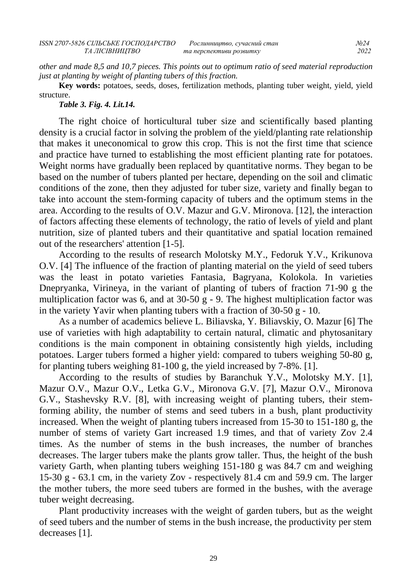*other and made 8,5 and 10,7 pieces. This points out to optimum ratio of seed material reproduction just at planting by weight of planting tubers of this fraction.*

**Key words:** potatoes, seeds, doses, fertilization methods, planting tuber weight, yield, yield structure.

#### *Table 3. Fig. 4. Lit.14.*

The right choice of horticultural tuber size and scientifically based planting density is a crucial factor in solving the problem of the yield/planting rate relationship that makes it uneconomical to grow this crop. This is not the first time that science and practice have turned to establishing the most efficient planting rate for potatoes. Weight norms have gradually been replaced by quantitative norms. They began to be based on the number of tubers planted per hectare, depending on the soil and climatic conditions of the zone, then they adjusted for tuber size, variety and finally began to take into account the stem-forming capacity of tubers and the optimum stems in the area. According to the results of O.V. Mazur and G.V. Mironova. [12], the interaction of factors affecting these elements of technology, the ratio of levels of yield and plant nutrition, size of planted tubers and their quantitative and spatial location remained out of the researchers' attention [1-5].

According to the results of research Molotsky M.Y., Fedoruk Y.V., Krikunova O.V. [4] The influence of the fraction of planting material on the yield of seed tubers was the least in potato varieties Fantasia, Bagryana, Kolokola. In varieties Dnepryanka, Virineya, in the variant of planting of tubers of fraction 71-90 g the multiplication factor was 6, and at  $30-50$  g - 9. The highest multiplication factor was in the variety Yavir when planting tubers with a fraction of  $30-50$  g - 10.

As a number of academics believe L. Biliavska, Y. Biliavskiy, O. Mazur [6] The use of varieties with high adaptability to certain natural, climatic and phytosanitary conditions is the main component in obtaining consistently high yields, including potatoes. Larger tubers formed a higher yield: compared to tubers weighing 50-80 g, for planting tubers weighing 81-100 g, the yield increased by 7-8%. [1].

According to the results of studies by Baranchuk Y.V., Molotsky M.Y. [1], Mazur O.V., Mazur O.V., Letka G.V., Mironova G.V. [7], Mazur O.V., Mironova G.V., Stashevsky R.V. [8], with increasing weight of planting tubers, their stemforming ability, the number of stems and seed tubers in a bush, plant productivity increased. When the weight of planting tubers increased from 15-30 to 151-180 g, the number of stems of variety Gart increased 1.9 times, and that of variety Zov 2.4 times. As the number of stems in the bush increases, the number of branches decreases. The larger tubers make the plants grow taller. Thus, the height of the bush variety Garth, when planting tubers weighing 151-180 g was 84.7 cm and weighing 15-30 g - 63.1 cm, in the variety Zov - respectively 81.4 cm and 59.9 cm. The larger the mother tubers, the more seed tubers are formed in the bushes, with the average tuber weight decreasing.

Plant productivity increases with the weight of garden tubers, but as the weight of seed tubers and the number of stems in the bush increase, the productivity per stem decreases [1].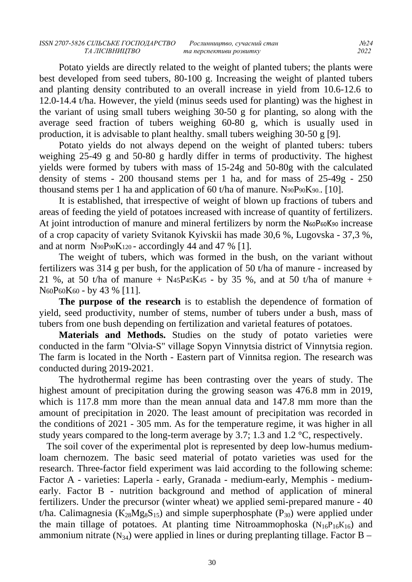Potato yields are directly related to the weight of planted tubers; the plants were best developed from seed tubers, 80-100 g. Increasing the weight of planted tubers and planting density contributed to an overall increase in yield from 10.6-12.6 to 12.0-14.4 t/ha. However, the yield (minus seeds used for planting) was the highest in the variant of using small tubers weighing 30-50 g for planting, so along with the average seed fraction of tubers weighing 60-80 g, which is usually used in production, it is advisable to plant healthy. small tubers weighing 30-50 g [9].

Potato yields do not always depend on the weight of planted tubers: tubers weighing 25-49 g and 50-80 g hardly differ in terms of productivity. The highest yields were formed by tubers with mass of 15-24g and 50-80g with the calculated density of stems - 200 thousand stems per 1 ha, and for mass of 25-49g - 250 thousand stems per 1 ha and application of 60 t/ha of manure. N90P90K90.. [10].

It is established, that irrespective of weight of blown up fractions of tubers and areas of feeding the yield of potatoes increased with increase of quantity of fertilizers. At joint introduction of manure and mineral fertilizers by norm the N60P60K90 increase of a crop capacity of variety Svitanok Kyivskii has made 30,6 %, Lugovska - 37,3 %, and at norm  $N_{90}P_{90}K_{120}$  - accordingly 44 and 47 % [1].

The weight of tubers, which was formed in the bush, on the variant without fertilizers was 314 g per bush, for the application of 50 t/ha of manure - increased by 21 %, at 50 t/ha of manure + N<sub>45</sub>P<sub>45</sub>K<sub>45</sub> - by 35 %, and at 50 t/ha of manure + N60P60K60 - by 43 % [11].

**The purpose of the research** is to establish the dependence of formation of yield, seed productivity, number of stems, number of tubers under a bush, mass of tubers from one bush depending on fertilization and varietal features of potatoes.

**Materials and Methods.** Studies on the study of potato varieties were conducted in the farm "Olvia-S" village Sopyn Vinnytsia district of Vinnytsia region. The farm is located in the North - Eastern part of Vinnitsa region. The research was conducted during 2019-2021.

The hydrothermal regime has been contrasting over the years of study. The highest amount of precipitation during the growing season was 476.8 mm in 2019, which is 117.8 mm more than the mean annual data and 147.8 mm more than the amount of precipitation in 2020. The least amount of precipitation was recorded in the conditions of 2021 - 305 mm. As for the temperature regime, it was higher in all study years compared to the long-term average by 3.7; 1.3 and 1.2 °C, respectively.

 The soil cover of the experimental plot is represented by deep low-humus mediumloam chernozem. The basic seed material of potato varieties was used for the research. Three-factor field experiment was laid according to the following scheme: Factor A - varieties: Laperla - early, Granada - medium-early, Memphis - mediumearly. Factor B - nutrition background and method of application of mineral fertilizers. Under the precursor (winter wheat) we applied semi-prepared manure - 40 t/ha. Calimagnesia ( $K_{28}Mg_8S_{15}$ ) and simple superphosphate (P<sub>30</sub>) were applied under the main tillage of potatoes. At planting time Nitroammophoska  $(N_{16}P_{16}K_{16})$  and ammonium nitrate  $(N_{34})$  were applied in lines or during preplanting tillage. Factor B –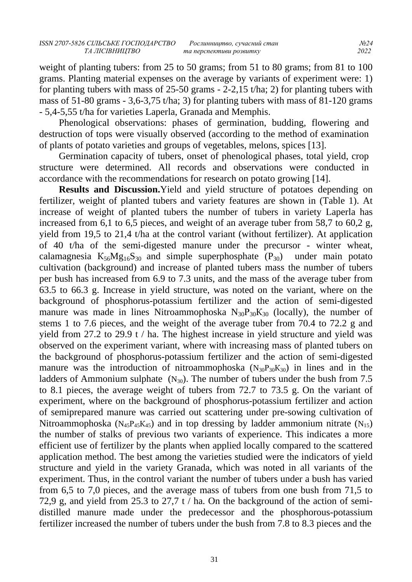weight of planting tubers: from 25 to 50 grams; from 51 to 80 grams; from 81 to 100 grams. Planting material expenses on the average by variants of experiment were: 1) for planting tubers with mass of 25-50 grams - 2-2,15 t/ha; 2) for planting tubers with mass of 51-80 grams - 3,6-3,75 t/ha; 3) for planting tubers with mass of 81-120 grams - 5,4-5,55 t/ha for varieties Laperla, Granada and Memphis.

Phenological observations: phases of germination, budding, flowering and destruction of tops were visually observed (according to the method of examination of plants of potato varieties and groups of vegetables, melons, spices [13].

Germination capacity of tubers, onset of phenological phases, total yield, crop structure were determined. All records and observations were conducted in accordance with the recommendations for research on potato growing [14].

**Results and Discussion.**Yield and yield structure of potatoes depending on fertilizer, weight of planted tubers and variety features are shown in (Table 1). At increase of weight of planted tubers the number of tubers in variety Laperla has increased from 6,1 to 6,5 pieces, and weight of an average tuber from 58,7 to 60,2 g, yield from 19,5 to 21,4 t/ha at the control variant (without fertilizer). At application of 40 t/ha of the semi-digested manure under the precursor - winter wheat, calamagnesia  $K_{56}Mg_{16}S_{30}$  and simple superphosphate  $(P_{30})$  under main potato cultivation (background) and increase of planted tubers mass the number of tubers per bush has increased from 6.9 to 7.3 units, and the mass of the average tuber from 63.5 to 66.3 g. Increase in yield structure, was noted on the variant, where on the background of phosphorus-potassium fertilizer and the action of semi-digested manure was made in lines Nitroammophoska  $N_{30}P_{30}K_{30}$  (locally), the number of stems 1 to 7.6 pieces, and the weight of the average tuber from 70.4 to 72.2 g and yield from 27.2 to 29.9 t / ha. The highest increase in yield structure and yield was observed on the experiment variant, where with increasing mass of planted tubers on the background of phosphorus-potassium fertilizer and the action of semi-digested manure was the introduction of nitroammophoska  $(N_{30}P_{30}K_{30})$  in lines and in the ladders of Ammonium sulphate  $(N_{30})$ . The number of tubers under the bush from 7.5 to 8.1 pieces, the average weight of tubers from 72.7 to 73.5 g. On the variant of experiment, where on the background of phosphorus-potassium fertilizer and action of semiprepared manure was carried out scattering under pre-sowing cultivation of Nitroammophoska ( $N_{45}P_{45}K_{45}$ ) and in top dressing by ladder ammonium nitrate ( $N_{15}$ ) the number of stalks of previous two variants of experience. This indicates a more efficient use of fertilizer by the plants when applied locally compared to the scattered application method. The best among the varieties studied were the indicators of yield structure and yield in the variety Granada, which was noted in all variants of the experiment. Thus, in the control variant the number of tubers under a bush has varied from 6,5 to 7,0 pieces, and the average mass of tubers from one bush from 71,5 to 72,9 g, and yield from 25.3 to 27,7 t / ha. On the background of the action of semidistilled manure made under the predecessor and the phosphorous-potassium fertilizer increased the number of tubers under the bush from 7.8 to 8.3 pieces and the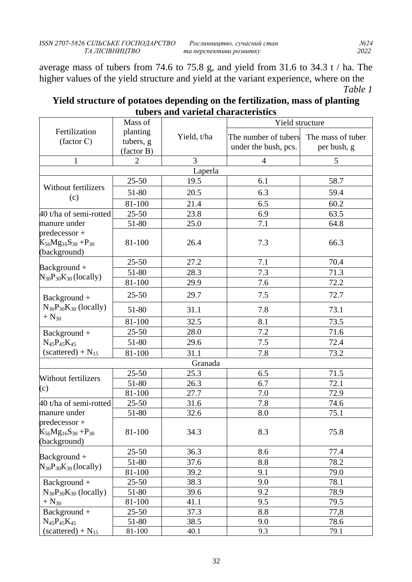average mass of tubers from 74.6 to 75.8 g, and yield from 31.6 to 34.3 t / ha. The higher values of the yield structure and yield at the variant experience, where on the *Table 1*

|                                                                   | Mass of               |             | Yield structure      |                   |  |
|-------------------------------------------------------------------|-----------------------|-------------|----------------------|-------------------|--|
| Fertilization<br>(factor C)                                       | planting<br>tubers, g | Yield, t/ha | The number of tubers | The mass of tuber |  |
|                                                                   | (factor B)            |             | under the bush, pcs. | per bush, g       |  |
| $\mathbf{1}$                                                      | 2                     | 3           | $\overline{4}$       | 5                 |  |
|                                                                   |                       | Laperla     |                      |                   |  |
| <b>Without fertilizers</b>                                        | $25 - 50$             | 19.5        | 6.1                  | 58.7              |  |
| (c)                                                               | 51-80                 | 20.5        | 6.3                  | 59.4              |  |
|                                                                   | 81-100                | 21.4        | 6.5                  | 60.2              |  |
| 40 t/ha of semi-rotted                                            | $25 - 50$             | 23.8        | 6.9                  | 63.5              |  |
| manure under                                                      | 51-80                 | 25.0        | 7.1                  | 64.8              |  |
| $predecessor +$<br>$K_{56}Mg_{16}S_{30} + P_{30}$<br>(background) | 81-100                | 26.4        | 7.3                  | 66.3              |  |
|                                                                   | $25 - 50$             | 27.2        | 7.1                  | 70.4              |  |
| $Background +$<br>$N_{30}P_{30}K_{30}$ (locally)                  | 51-80                 | 28.3        | 7.3                  | 71.3              |  |
|                                                                   | 81-100                | 29.9        | 7.6                  | 72.2              |  |
| Background +                                                      | $25 - 50$             | 29.7        | 7.5                  | 72.7              |  |
| $N_{30}P_{30}K_{30}$ (locally)                                    | 51-80                 | 31.1        | 7.8                  | 73.1              |  |
| $+$ N <sub>30</sub>                                               | 81-100                | 32.5        | 8.1                  | 73.5              |  |
| Background +<br>$N_{45}P_{45}K_{45}$                              | $25 - 50$             | 28.0        | 7.2                  | 71.6              |  |
|                                                                   | 51-80                 | 29.6        | 7.5                  | 72.4              |  |
| $(scattered) + N_{15}$                                            | 81-100                | 31.1        | 7.8                  | 73.2              |  |
| Granada                                                           |                       |             |                      |                   |  |
| Without fertilizers                                               | $25 - 50$             | 25.3        | 6.5                  | 71.5              |  |
| (c)                                                               | 51-80                 | 26.3        | 6.7                  | 72.1              |  |
|                                                                   | 81-100                | 27.7        | 7.0                  | 72.9              |  |
| 40 t/ha of semi-rotted                                            | $25 - 50$             | 31.6        | 7.8                  | 74.6              |  |
| manure under                                                      | 51-80                 | 32.6        | 8.0                  | 75.1              |  |
| $predecessor +$<br>$K_{56}Mg_{16}S_{30} + P_{30}$<br>(background) | 81-100                | 34.3        | 8.3                  | 75.8              |  |
|                                                                   | $25 - 50$             | 36.3        | 8.6                  | 77.4              |  |
| Background +                                                      | 51-80                 | 37.6        | 8.8                  | 78.2              |  |
| $N_{30}P_{30}K_{30}$ (locally)                                    | 81-100                | 39.2        | 9.1                  | 79.0              |  |
| Background +                                                      | $25 - 50$             | 38.3        | 9.0                  | 78.1              |  |
| $N_{30}P_{30}K_{30}$ (locally)                                    | 51-80                 | 39.6        | 9.2                  | 78.9              |  |
| $+$ N <sub>30</sub>                                               | 81-100                | 41.1        | 9.5                  | 79.5              |  |
| Background +                                                      | $25 - 50$             | 37.3        | 8.8                  | 77,8              |  |
| $N_{45}P_{45}K_{45}$                                              | 51-80                 | 38.5        | 9.0                  | 78.6              |  |
| $(scattered) + N_{15}$                                            | 81-100                | 40.1        | 9.3                  | 79.1              |  |

# **Yield structure of potatoes depending on the fertilization, mass of planting tubers and varietal characteristics**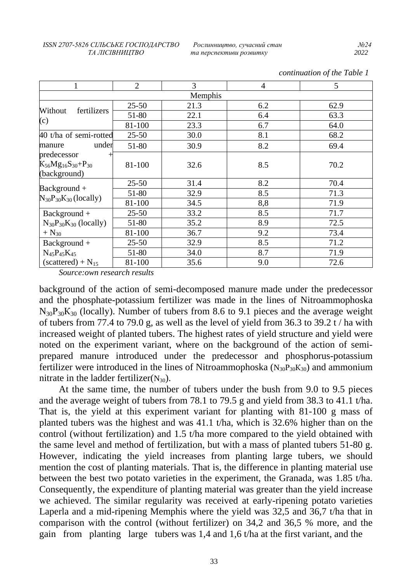| 1                                                | $\overline{2}$ | 3    | $\overline{4}$ | 5    |
|--------------------------------------------------|----------------|------|----------------|------|
| Memphis                                          |                |      |                |      |
| Without<br>fertilizers<br>(c)                    | $25 - 50$      | 21.3 | 6.2            | 62.9 |
|                                                  | 51-80          | 22.1 | 6.4            | 63.3 |
|                                                  | 81-100         | 23.3 | 6.7            | 64.0 |
| 40 t/ha of semi-rotted<br>under<br>manure        | $25 - 50$      | 30.0 | 8.1            | 68.2 |
|                                                  | 51-80          | 30.9 | 8.2            | 69.4 |
| predecessor                                      |                |      |                |      |
| $K_{56}Mg_{16}S_{30}+P_{30}$                     | 81-100         | 32.6 | 8.5            | 70.2 |
| (background)                                     |                |      |                |      |
| $Background +$<br>$N_{30}P_{30}K_{30}$ (locally) | $25 - 50$      | 31.4 | 8.2            | 70.4 |
|                                                  | 51-80          | 32.9 | 8.5            | 71.3 |
|                                                  | 81-100         | 34.5 | 8,8            | 71.9 |
| $Background +$                                   | $25 - 50$      | 33.2 | 8.5            | 71.7 |
| $N_{30}P_{30}K_{30}$ (locally)                   | 51-80          | 35.2 | 8.9            | 72.5 |
| $+$ N <sub>30</sub>                              | 81-100         | 36.7 | 9.2            | 73.4 |
| $Background +$                                   | $25 - 50$      | 32.9 | 8.5            | 71.2 |
| $N_{45}P_{45}K_{45}$                             | 51-80          | 34.0 | 8.7            | 71.9 |
| $(scattered) + N_{15}$                           | 81-100         | 35.6 | 9.0            | 72.6 |

*continuation of the Table 1* 

*Source:own research results*

background of the action of semi-decomposed manure made under the predecessor and the phosphate-potassium fertilizer was made in the lines of Nitroammophoska  $N_{30}P_{30}K_{30}$  (locally). Number of tubers from 8.6 to 9.1 pieces and the average weight of tubers from 77.4 to 79.0 g, as well as the level of yield from 36.3 to 39.2 t / ha with increased weight of planted tubers. The highest rates of yield structure and yield were noted on the experiment variant, where on the background of the action of semiprepared manure introduced under the predecessor and phosphorus-potassium fertilizer were introduced in the lines of Nitroammophoska  $(N_{30}P_{30}K_{30})$  and ammonium nitrate in the ladder fertilizer( $N_{30}$ ).

At the same time, the number of tubers under the bush from 9.0 to 9.5 pieces and the average weight of tubers from 78.1 to 79.5 g and yield from 38.3 to 41.1 t/ha. That is, the yield at this experiment variant for planting with 81-100 g mass of planted tubers was the highest and was 41.1 t/ha, which is 32.6% higher than on the control (without fertilization) and 1.5 t/ha more compared to the yield obtained with the same level and method of fertilization, but with a mass of planted tubers 51-80 g. However, indicating the yield increases from planting large tubers, we should mention the cost of planting materials. That is, the difference in planting material use between the best two potato varieties in the experiment, the Granada, was 1.85 t/ha. Consequently, the expenditure of planting material was greater than the yield increase we achieved. The similar regularity was received at early-ripening potato varieties Laperla and a mid-ripening Memphis where the yield was 32,5 and 36,7 t/ha that in comparison with the control (without fertilizer) on 34,2 and 36,5 % more, and the gain from planting large tubers was 1,4 and 1,6 t/ha at the first variant, and the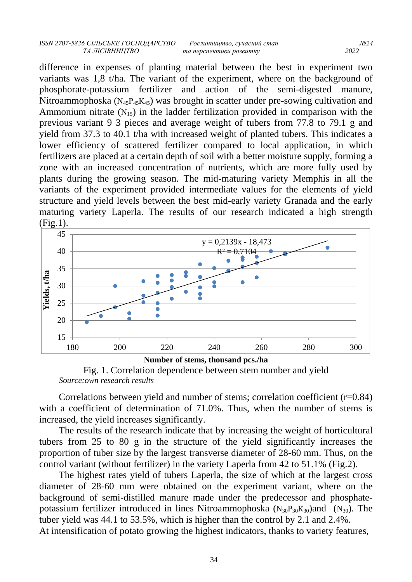difference in expenses of planting material between the best in experiment two variants was 1,8 t/ha. The variant of the experiment, where on the background of phosphorate-potassium fertilizer and action of the semi-digested manure, Nitroammophoska ( $N_{45}P_{45}K_{45}$ ) was brought in scatter under pre-sowing cultivation and Ammonium nitrate  $(N_{15})$  in the ladder fertilization provided in comparison with the previous variant 9 3 pieces and average weight of tubers from 77.8 to 79.1 g and yield from 37.3 to 40.1 t/ha with increased weight of planted tubers. This indicates a lower efficiency of scattered fertilizer compared to local application, in which fertilizers are placed at a certain depth of soil with a better moisture supply, forming a zone with an increased concentration of nutrients, which are more fully used by plants during the growing season. The mid-maturing variety Memphis in all the variants of the experiment provided intermediate values for the elements of yield structure and yield levels between the best mid-early variety Granada and the early maturing variety Laperla. The results of our research indicated a high strength (Fig.1).



**Number of stems, thousand pcs./ha** Fig. 1. Correlation dependence between stem number and yield *Source:own research results*

Correlations between yield and number of stems; correlation coefficient (r=0.84) with a coefficient of determination of 71.0%. Thus, when the number of stems is increased, the yield increases significantly.

The results of the research indicate that by increasing the weight of horticultural tubers from 25 to 80 g in the structure of the yield significantly increases the proportion of tuber size by the largest transverse diameter of 28-60 mm. Thus, on the control variant (without fertilizer) in the variety Laperla from 42 to 51.1% (Fig.2).

The highest rates yield of tubers Laperla, the size of which at the largest cross diameter of 28-60 mm were obtained on the experiment variant, where on the background of semi-distilled manure made under the predecessor and phosphatepotassium fertilizer introduced in lines Nitroammophoska  $(N_{30}P_{30}K_{30})$  and  $(N_{30})$ . The tuber yield was 44.1 to 53.5%, which is higher than the control by 2.1 and 2.4%. At intensification of potato growing the highest indicators, thanks to variety features,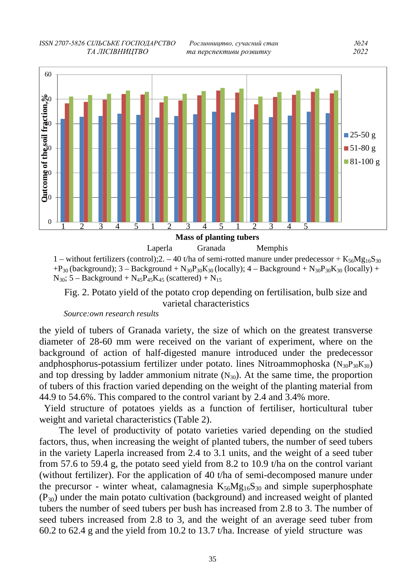*ISSN 2707-5826 СІЛЬСЬКЕ ГОСПОДАРСТВО Рослинництво, сучасний стан №24 ТА ЛІСІВНИЦТВО та перспективи розвитку 2022*



1 – without fertilizers (control);2. – 40 t/ha of semi-rotted manure under predecessor +  $K_{56}Mg_{16}S_{30}$  $+P_{30}$  (background); 3 – Background + N<sub>30</sub>P<sub>30</sub>K<sub>30</sub> (locally); 4 – Background + N<sub>30</sub>P<sub>30</sub>K<sub>30</sub> (locally) +  $N_{30}$ ; 5 – Background +  $N_{45}P_{45}K_{45}$  (scattered) +  $N_{15}$ 

Fig. 2. Potato yield of the potato crop depending on fertilisation, bulb size and varietal characteristics

*Source:own research results*

the yield of tubers of Granada variety, the size of which on the greatest transverse diameter of 28-60 mm were received on the variant of experiment, where on the background of action of half-digested manure introduced under the predecessor andphosphorus-potassium fertilizer under potato. lines Nitroammophoska  $(N_{30}P_{30}K_{30})$ and top dressing by ladder ammonium nitrate  $(N_{30})$ . At the same time, the proportion of tubers of this fraction varied depending on the weight of the planting material from 44.9 to 54.6%. This compared to the control variant by 2.4 and 3.4% more.

 Yield structure of potatoes yields as a function of fertiliser, horticultural tuber weight and varietal characteristics (Table 2).

The level of productivity of potato varieties varied depending on the studied factors, thus, when increasing the weight of planted tubers, the number of seed tubers in the variety Laperla increased from 2.4 to 3.1 units, and the weight of a seed tuber from 57.6 to 59.4 g, the potato seed yield from 8.2 to 10.9 t/ha on the control variant (without fertilizer). For the application of 40 t/ha of semi-decomposed manure under the precursor - winter wheat, calamagnesia  $K_{56}Mg_{16}S_{30}$  and simple superphosphate  $(P_{30})$  under the main potato cultivation (background) and increased weight of planted tubers the number of seed tubers per bush has increased from 2.8 to 3. The number of seed tubers increased from 2.8 to 3, and the weight of an average seed tuber from 60.2 to 62.4 g and the yield from 10.2 to 13.7 t/ha. Increase of yield structure was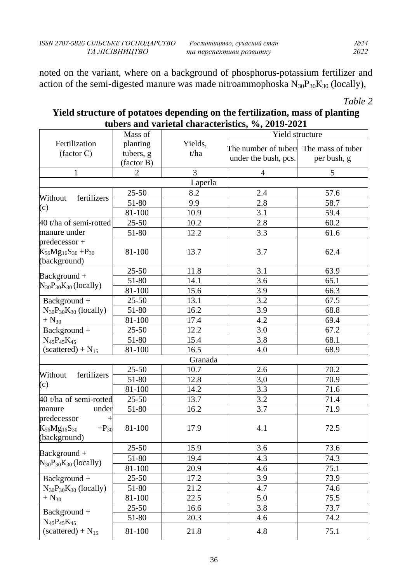noted on the variant, where on a background of phosphorus-potassium fertilizer and action of the semi-digested manure was made nitroammophoska  $N_{30}P_{30}K_{30}$  (locally),

*Table 2* 

# **Yield structure of potatoes depending on the fertilization, mass of planting tubers and varietal characteristics, %, 2019-2021**

|                                                                            | Mass of                             |                 | Yield structure                              |                                  |
|----------------------------------------------------------------------------|-------------------------------------|-----------------|----------------------------------------------|----------------------------------|
| Fertilization<br>(factor C)                                                | planting<br>tubers, g<br>(factor B) | Yields,<br>t/ha | The number of tubers<br>under the bush, pcs. | The mass of tuber<br>per bush, g |
| $\mathbf{1}$                                                               | $\overline{2}$                      | 3               | $\overline{4}$                               | 5                                |
|                                                                            |                                     | Laperla         |                                              |                                  |
|                                                                            | $25 - 50$                           | 8.2             | 2.4                                          | 57.6                             |
| Without<br>fertilizers                                                     | 51-80                               | 9.9             | 2.8                                          | 58.7                             |
| (c)                                                                        | 81-100                              | 10.9            | 3.1                                          | 59.4                             |
| 40 t/ha of semi-rotted                                                     | $25 - 50$                           | 10.2            | 2.8                                          | 60.2                             |
| manure under                                                               | 51-80                               | 12.2            | 3.3                                          | 61.6                             |
| $predecessor +$<br>$K_{56}Mg_{16}S_{30} + P_{30}$<br>(background)          | 81-100                              | 13.7            | 3.7                                          | 62.4                             |
|                                                                            | $25 - 50$                           | 11.8            | 3.1                                          | 63.9                             |
| Background +<br>$N_{30}P_{30}K_{30}$ (locally)                             | 51-80                               | 14.1            | 3.6                                          | 65.1                             |
|                                                                            | 81-100                              | 15.6            | 3.9                                          | 66.3                             |
| Background +                                                               | $25 - 50$                           | 13.1            | 3.2                                          | 67.5                             |
| $N_{30}P_{30}K_{30}$ (locally)                                             | 51-80                               | 16.2            | 3.9                                          | 68.8                             |
| $+$ N <sub>30</sub>                                                        | 81-100                              | 17.4            | 4.2                                          | 69.4                             |
| Background +                                                               | $25 - 50$                           | 12.2            | 3.0                                          | 67.2                             |
| $N_{45}P_{45}K_{45}$                                                       | 51-80                               | 15.4            | 3.8                                          | 68.1                             |
| $(scattered) + N_{15}$                                                     | 81-100                              | 16.5            | 4.0                                          | 68.9                             |
|                                                                            |                                     | Granada         |                                              |                                  |
| Without<br>fertilizers                                                     | $25 - 50$                           | 10.7            | 2.6                                          | 70.2                             |
|                                                                            | 51-80                               | 12.8            | 3,0                                          | 70.9                             |
| (c)                                                                        | 81-100                              | 14.2            | 3.3                                          | 71.6                             |
| 40 t/ha of semi-rotted                                                     | $25 - 50$                           | 13.7            | 3.2                                          | 71.4                             |
| under<br>manure                                                            | 51-80                               | 16.2            | 3.7                                          | 71.9                             |
| predecessor<br>$\pm$<br>$K_{56}Mg_{16}S_{30}$<br>$+P_{30}$<br>(background) | 81-100                              | 17.9            | 4.1                                          | 72.5                             |
| $Background +$                                                             | $25 - 50$                           | 15.9            | 3.6                                          | 73.6                             |
| $N_{30}P_{30}K_{30}$ (locally)                                             | 51-80                               | 19.4            | 4.3                                          | 74.3                             |
|                                                                            | 81-100                              | 20.9            | 4.6                                          | 75.1                             |
| Background +                                                               | $25 - 50$                           | 17.2            | 3.9                                          | 73.9                             |
| $N_{30}P_{30}K_{30}$ (locally)                                             | 51-80                               | 21.2            | 4.7                                          | 74.6                             |
| $+$ N <sub>30</sub>                                                        | 81-100                              | 22.5            | 5.0                                          | 75.5                             |
| Background +                                                               | $25 - 50$                           | 16.6            | 3.8                                          | 73.7                             |
| $N_{45}P_{45}K_{45}$                                                       | 51-80                               | 20.3            | 4.6                                          | 74.2                             |
| $(scattered) + N_{15}$                                                     | 81-100                              | 21.8            | 4.8                                          | 75.1                             |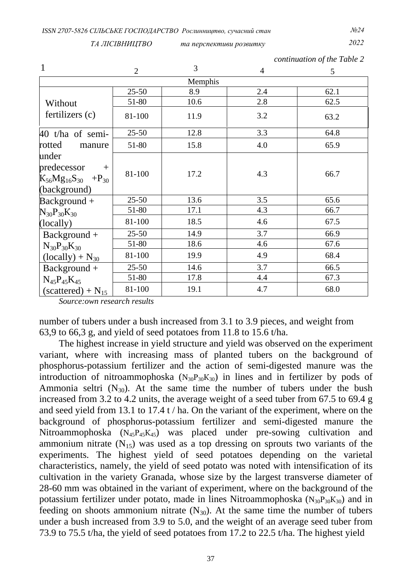*ТА ЛІСІВНИЦТВО та перспективи розвитку 2022*

*continuation of the Table 2* 

|                                                                                       | $\overline{2}$ | 3    | $\overline{4}$ | 5    |
|---------------------------------------------------------------------------------------|----------------|------|----------------|------|
| Memphis                                                                               |                |      |                |      |
|                                                                                       | $25 - 50$      | 8.9  | 2.4            | 62.1 |
| Without                                                                               | 51-80          | 10.6 | 2.8            | 62.5 |
| fertilizers (c)                                                                       | 81-100         | 11.9 | 3.2            | 63.2 |
| 40 t/ha of semi-                                                                      | $25 - 50$      | 12.8 | 3.3            | 64.8 |
| rotted<br>manure                                                                      | 51-80          | 15.8 | 4.0            | 65.9 |
| under<br>predecessor<br>$+$<br>$K_{56}Mg_{16}S_{30}$ +P <sub>30</sub><br>(background) | 81-100         | 17.2 | 4.3            | 66.7 |
| $Background +$                                                                        | $25 - 50$      | 13.6 | 3.5            | 65.6 |
| $N_{30}P_{30}K_{30}$                                                                  | 51-80          | 17.1 | 4.3            | 66.7 |
| (locally)                                                                             | 81-100         | 18.5 | 4.6            | 67.5 |
| $Background +$                                                                        | $25 - 50$      | 14.9 | 3.7            | 66.9 |
| $N_{30}P_{30}K_{30}$                                                                  | 51-80          | 18.6 | 4.6            | 67.6 |
| $(locally) + N_{30}$                                                                  | 81-100         | 19.9 | 4.9            | 68.4 |
| $Background +$                                                                        | $25 - 50$      | 14.6 | 3.7            | 66.5 |
| $N_{45}P_{45}K_{45}$                                                                  | 51-80          | 17.8 | 4.4            | 67.3 |
| $(scattered) + N_{15}$                                                                | 81-100         | 19.1 | 4.7            | 68.0 |

*Source:own research results*

number of tubers under a bush increased from 3.1 to 3.9 pieces, and weight from 63,9 to 66,3 g, and yield of seed potatoes from 11.8 to 15.6 t/ha.

The highest increase in yield structure and yield was observed on the experiment variant, where with increasing mass of planted tubers on the background of phosphorus-potassium fertilizer and the action of semi-digested manure was the introduction of nitroammophoska  $(N_{30}P_{30}K_{30})$  in lines and in fertilizer by pods of Ammonia seltri  $(N_{30})$ . At the same time the number of tubers under the bush increased from 3.2 to 4.2 units, the average weight of a seed tuber from 67.5 to 69.4 g and seed yield from 13.1 to 17.4 t / ha. On the variant of the experiment, where on the background of phosphorus-potassium fertilizer and semi-digested manure the Nitroammophoska  $(N_{45}P_{45}K_{45})$  was placed under pre-sowing cultivation and ammonium nitrate  $(N_{15})$  was used as a top dressing on sprouts two variants of the experiments. The highest yield of seed potatoes depending on the varietal characteristics, namely, the yield of seed potato was noted with intensification of its cultivation in the variety Granada, whose size by the largest transverse diameter of 28-60 mm was obtained in the variant of experiment, where on the background of the potassium fertilizer under potato, made in lines Nitroammophoska  $(N_{30}P_{30}K_{30})$  and in feeding on shoots ammonium nitrate  $(N_{30})$ . At the same time the number of tubers under a bush increased from 3.9 to 5.0, and the weight of an average seed tuber from 73.9 to 75.5 t/ha, the yield of seed potatoes from 17.2 to 22.5 t/ha. The highest yield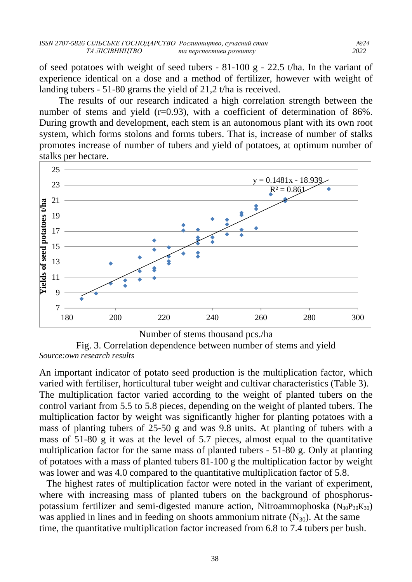of seed potatoes with weight of seed tubers - 81-100 g - 22.5 t/ha. In the variant of experience identical on a dose and a method of fertilizer, however with weight of landing tubers - 51-80 grams the yield of 21,2 t/ha is received.

The results of our research indicated a high correlation strength between the number of stems and yield (r=0.93), with a coefficient of determination of 86%. During growth and development, each stem is an autonomous plant with its own root system, which forms stolons and forms tubers. That is, increase of number of stalks promotes increase of number of tubers and yield of potatoes, at optimum number of stalks per hectare.





An important indicator of potato seed production is the multiplication factor, which varied with fertiliser, horticultural tuber weight and cultivar characteristics (Table 3). The multiplication factor varied according to the weight of planted tubers on the control variant from 5.5 to 5.8 pieces, depending on the weight of planted tubers. The multiplication factor by weight was significantly higher for planting potatoes with a mass of planting tubers of 25-50 g and was 9.8 units. At planting of tubers with a mass of 51-80 g it was at the level of 5.7 pieces, almost equal to the quantitative multiplication factor for the same mass of planted tubers - 51-80 g. Only at planting of potatoes with a mass of planted tubers 81-100 g the multiplication factor by weight was lower and was 4.0 compared to the quantitative multiplication factor of 5.8.

 The highest rates of multiplication factor were noted in the variant of experiment, where with increasing mass of planted tubers on the background of phosphoruspotassium fertilizer and semi-digested manure action, Nitroammophoska  $(N_{30}P_{30}K_{30})$ was applied in lines and in feeding on shoots ammonium nitrate  $(N_{30})$ . At the same time, the quantitative multiplication factor increased from 6.8 to 7.4 tubers per bush.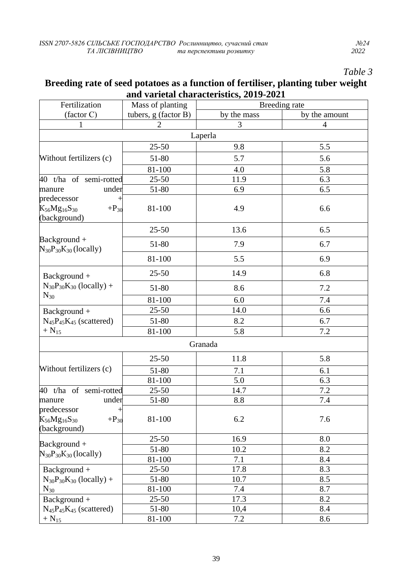# *Table 3*

### **Breeding rate of seed potatoes as a function of fertiliser, planting tuber weight and varietal characteristics, 2019-2021**

| Fertilization                                                                             | Mass of planting     | Breeding rate |                |
|-------------------------------------------------------------------------------------------|----------------------|---------------|----------------|
| (factor C)                                                                                | tubers, g (factor B) | by the mass   | by the amount  |
| 1                                                                                         | $\overline{2}$       | 3             | $\overline{4}$ |
|                                                                                           |                      | Laperla       |                |
|                                                                                           | $25 - 50$            | 9.8           | 5.5            |
| Without fertilizers (c)                                                                   | 51-80                | 5.7           | 5.6            |
|                                                                                           | 81-100               | 4.0           | 5.8            |
| 40 t/ha of semi-rotted                                                                    | $25 - 50$            | 11.9          | 6.3            |
| under<br>manure                                                                           | 51-80                | 6.9           | 6.5            |
| predecessor<br>$\,{}^+$                                                                   |                      |               |                |
| $K_{56}Mg_{16}S_{30}$<br>$+P_{30}$<br>(background)                                        | 81-100               | 4.9           | 6.6            |
|                                                                                           | $25 - 50$            | 13.6          | 6.5            |
| $Background +$<br>$N_{30}P_{30}K_{30}$ (locally)                                          | 51-80                | 7.9           | 6.7            |
|                                                                                           | 81-100               | 5.5           | 6.9            |
| Background +                                                                              | $25 - 50$            | 14.9          | 6.8            |
| $N_{30}P_{30}K_{30}$ (locally) +                                                          | 51-80                | 8.6           | 7.2            |
| $N_{30}$                                                                                  | 81-100               | 6.0           | 7.4            |
| Background +                                                                              | $25 - 50$            | 14.0          | 6.6            |
| $N_{45}P_{45}K_{45}$ (scattered)                                                          | 51-80                | 8.2           | 6.7            |
| $+ N_{15}$                                                                                | 81-100               | 5.8           | 7.2            |
|                                                                                           |                      | Granada       |                |
|                                                                                           | $25 - 50$            | 11.8          | 5.8            |
| Without fertilizers (c)                                                                   | 51-80                | 7.1           | 6.1            |
|                                                                                           | 81-100               | 5.0           | 6.3            |
| 40 t/ha of semi-rotted                                                                    | $25 - 50$            | 14.7          | 7.2            |
| under<br>manure<br>predecessor<br>ᅱ<br>$K_{56}Mg_{16}S_{30}$<br>$+P_{30}$<br>(background) | 51-80                | 8.8           | 7.4            |
|                                                                                           | 81-100               | 6.2           | 7.6            |
| $Background +$<br>$N_{30}P_{30}K_{30}$ (locally)                                          | $25 - 50$            | 16.9          | 8.0            |
|                                                                                           | 51-80                | 10.2          | 8.2            |
|                                                                                           | 81-100               | 7.1           | 8.4            |
| Background +                                                                              | $25 - 50$            | 17.8          | 8.3            |
| $N_{30}P_{30}K_{30}$ (locally) +                                                          | 51-80                | 10.7          | 8.5            |
| $N_{30}$                                                                                  | 81-100               | 7.4           | 8.7            |
| Background +                                                                              | $25 - 50$            | 17.3          | 8.2            |
| $N_{45}P_{45}K_{45}$ (scattered)                                                          | 51-80                | 10,4          | 8.4            |
| $+ N_{15}$                                                                                | 81-100               | 7.2           | 8.6            |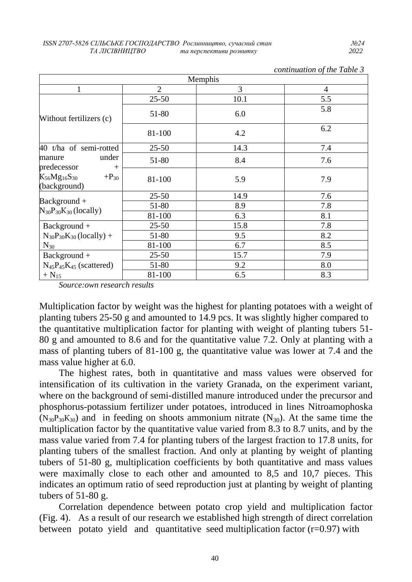| Memphis                                            |                |      |                |  |
|----------------------------------------------------|----------------|------|----------------|--|
| 1                                                  | $\overline{2}$ | 3    | $\overline{4}$ |  |
| Without fertilizers (c)                            | $25 - 50$      | 10.1 | 5.5            |  |
|                                                    | 51-80          | 6.0  | 5.8            |  |
|                                                    | 81-100         | 4.2  | 6.2            |  |
| 40 t/ha of semi-rotted                             | $25 - 50$      | 14.3 | 7.4            |  |
| under<br>manure<br>predecessor<br>$+$              | 51-80          | 8.4  | 7.6            |  |
| $K_{56}Mg_{16}S_{30}$<br>$+P_{30}$<br>(background) | 81-100         | 5.9  | 7.9            |  |
|                                                    | $25 - 50$      | 14.9 | 7.6            |  |
| $Background +$                                     | 51-80          | 8.9  | 7.8            |  |
| $N_{30}P_{30}K_{30}$ (locally)                     | 81-100         | 6.3  | 8.1            |  |
| $Background +$                                     | $25 - 50$      | 15.8 | 7.8            |  |
| $N_{30}P_{30}K_{30}$ (locally) +                   | 51-80          | 9.5  | 8.2            |  |
| $N_{30}$                                           | 81-100         | 6.7  | 8.5            |  |
| Background +                                       | $25 - 50$      | 15.7 | 7.9            |  |
| $N_{45}P_{45}K_{45}$ (scattered)                   | 51-80          | 9.2  | 8.0            |  |
| $+ N_{15}$                                         | 81-100         | 6.5  | 8.3            |  |

*continuation of the Table 3*

*Source:own research results*

Multiplication factor by weight was the highest for planting potatoes with a weight of planting tubers 25-50 g and amounted to 14.9 pcs. It was slightly higher compared to the quantitative multiplication factor for planting with weight of planting tubers 51- 80 g and amounted to 8.6 and for the quantitative value 7.2. Only at planting with a mass of planting tubers of 81-100 g, the quantitative value was lower at 7.4 and the mass value higher at 6.0.

The highest rates, both in quantitative and mass values were observed for intensification of its cultivation in the variety Granada, on the experiment variant, where on the background of semi-distilled manure introduced under the precursor and phosphorus-potassium fertilizer under potatoes, introduced in lines Nitroamophoska  $(N_{30}P_{30}K_{30})$  and in feeding on shoots ammonium nitrate  $(N_{30})$ . At the same time the multiplication factor by the quantitative value varied from 8.3 to 8.7 units, and by the mass value varied from 7.4 for planting tubers of the largest fraction to 17.8 units, for planting tubers of the smallest fraction. And only at planting by weight of planting tubers of 51-80 g, multiplication coefficients by both quantitative and mass values were maximally close to each other and amounted to 8,5 and 10,7 pieces. This indicates an optimum ratio of seed reproduction just at planting by weight of planting tubers of 51-80 g.

Correlation dependence between potato crop yield and multiplication factor (Fig. 4). As a result of our research we established high strength of direct correlation between potato yield and quantitative seed multiplication factor  $(r=0.97)$  with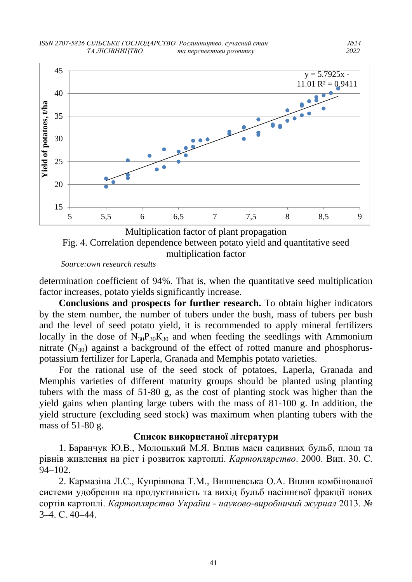

Fig. 4. Correlation dependence between potato yield and quantitative seed multiplication factor

 *Source:own research results*

determination coefficient of 94%. That is, when the quantitative seed multiplication factor increases, potato yields significantly increase.

**Conclusions and prospects for further research.** To obtain higher indicators by the stem number, the number of tubers under the bush, mass of tubers per bush and the level of seed potato yield, it is recommended to apply mineral fertilizers locally in the dose of  $N_{30}P_{30}K_{30}$  and when feeding the seedlings with Ammonium nitrate  $(N_{30})$  against a background of the effect of rotted manure and phosphoruspotassium fertilizer for Laperla, Granada and Memphis potato varieties.

For the rational use of the seed stock of potatoes, Laperla, Granada and Memphis varieties of different maturity groups should be planted using planting tubers with the mass of 51-80 g, as the cost of planting stock was higher than the yield gains when planting large tubers with the mass of 81-100 g. In addition, the yield structure (excluding seed stock) was maximum when planting tubers with the mass of 51-80 g.

#### **Список використаної літератури**

1. Баранчук Ю.В., Молоцький М.Я. Вплив маси садивних бульб, площ та рівнів живлення на ріст і розвиток картоплі. *Картоплярство*. 2000. Вип. 30. С. 94–102.

2. Кармазіна Л.Є., Купріянова Т.М., Вишневська О.А. Вплив комбінованої системи удобрення на продуктивність та вихід бульб насіннєвої фракції нових сортів картоплі. *Картоплярство України - науково-виробничий журнал* 2013. № 3–4. С. 40–44.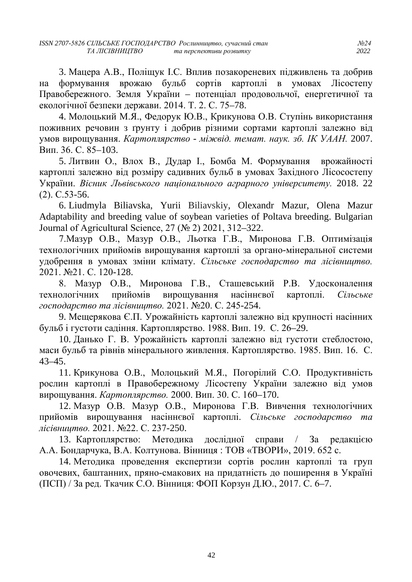3. Мацера А.В., Поліщук І.С. Вплив позакореневих підживлень та добрив на формування врожаю бульб сортів картоплі в умовах Лісостепу Правобережного. Земля України – потенціал продовольчої, енергетичної та екологічної безпеки держави. 2014. Т. 2. C. 75–78.

4. Молоцький М.Я., Федорук Ю.В., Крикунова О.В. Ступінь використання поживних речовин з ґрунту і добрив різними сортами картоплі залежно від умов вирощування. *Картоплярство - міжвід. темат. наук. зб. ІК УААН.* 2007. Вип. 36. С. 85–103.

5. Литвин О., Влох В., Дудар І., Бомба М. Формування врожайності картоплі залежно від розміру садивних бульб в умовах Західного Лісосостепу України. *Вісник Львівського національного аграрного університету.* 2018. 22 (2). С.53-56.

6. Liudmyla Biliavska, Yurii Biliavskiy, Olexandr Mazur, Olena Mazur Adaptability and breeding value of soybean varieties of Poltava breeding. Bulgarian Journal of Agricultural Science, 27 (№ 2) 2021, 312–322.

7.Мазур О.В., Мазур О.В., Льотка Г.В., Миронова Г.В. Оптимізація технологічних прийомів вирощування картоплі за органо-мінеральної системи удобрення в умовах зміни клімату. *Сільське господарство та лісівництво.* 2021. №21. С. 120-128.

8. Мазур О.В., Миронова Г.В., Сташевський Р.В. Удосконалення технологічних прийомів вирощування насіннєвої картоплі. *Сільське господарство та лісівництво.* 2021. №20. С. 245-254.

9. Мещерякова Є.П. Урожайність картоплі залежно від крупності насінних бульб і густоти садіння. Картоплярство. 1988. Вип. 19. С. 26–29.

10. Данько Г. В. Урожайність картоплі залежно від густоти стеблостою, маси бульб та рівнів мінерального живлення. Картоплярство. 1985. Вип. 16. С. 43–45.

11. Крикунова О.В., Молоцький М.Я., Погорілий С.О. Продуктивність рослин картоплі в Правобережному Лісостепу України залежно від умов вирощування. *Картоплярство.* 2000. Вип. 30. С. 160–170.

12. Мазур О.В. Мазур О.В., Миронова Г.В. Вивчення технологічних прийомів вирощування насіннєвої картоплі. *Сільське господарство та лісівництво.* 2021. №22. С. 237-250.

13. Картоплярство: Методика дослідної справи / За редакцією А.А. Бондарчука, В.А. Колтунова. Вінниця : ТОВ «ТВОРИ», 2019. 652 с.

14. Методика проведення експертизи сортів рослин картоплі та груп овочевих, баштанних, пряно-смакових на придатність до поширення в Україні (ПСП) / За ред. Ткачик С.О. Вінниця: ФОП Корзун Д.Ю., 2017. С. 6–7.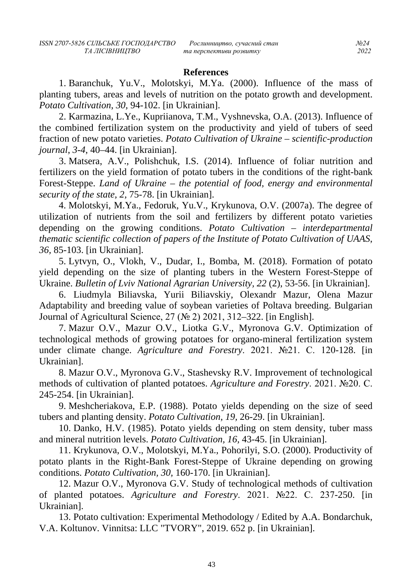#### **References**

1. Baranchuk, Yu.V., Molotskyi, M.Ya. (2000). Influence of the mass of planting tubers, areas and levels of nutrition on the potato growth and development. *Potato Cultivation*, *30,* 94-102. [in Ukrainian].

2. Karmazina, L.Ye., Kupriianova, T.M., Vyshnevska, O.A. (2013). Influence of the combined fertilization system on the productivity and yield of tubers of seed fraction of new potato varieties. *Potato Cultivation of Ukraine – scientific-production journal*, *3-4*, 40–44. [in Ukrainian].

3. Matsera, A.V., Polishchuk, I.S. (2014). Influence of foliar nutrition and fertilizers on the yield formation of potato tubers in the conditions of the right-bank Forest-Steppe. *Land of Ukraine – the potential of food, energy and environmental security of the state, 2,* 75-78. [in Ukrainian].

4. Molotskyi, M.Ya., Fedoruk, Yu.V., Krykunova, O.V. (2007a). The degree of utilization of nutrients from the soil and fertilizers by different potato varieties depending on the growing conditions. *Potato Cultivation – interdepartmental thematic scientific collection of papers of the Institute of Potato Cultivation of UAAS*, *36,* 85-103. [in Ukrainian].

5. Lytvyn, O., Vlokh, V., Dudar, I., Bomba, M. (2018). Formation of potato yield depending on the size of planting tubers in the Western Forest-Steppe of Ukraine. *Bulletin of Lviv National Agrarian University, 22* (2), 53-56. [in Ukrainian].

6. Liudmyla Biliavska, Yurii Biliavskiy, Olexandr Mazur, Olena Mazur Adaptability and breeding value of soybean varieties of Poltava breeding. Bulgarian Journal of Agricultural Science, 27 (№ 2) 2021, 312–322. [in English].

7. Mazur O.V., Mazur O.V., Liotka G.V., Myronova G.V. Optimization of technological methods of growing potatoes for organo-mineral fertilization system under climate change. *Agriculture and Forestry*. 2021. №21. С. 120-128. [in Ukrainian].

8. Mazur O.V., Myronova G.V., Stashevsky R.V. Improvement of technological methods of cultivation of planted potatoes. *Agriculture and Forestry*. 2021. №20. С. 245-254. [in Ukrainian].

9. Meshcheriakova, E.P. (1988). Potato yields depending on the size of seed tubers and planting density. *Potato Cultivation, 19,* 26-29. [in Ukrainian].

10. Danko, H.V. (1985). Potato yields depending on stem density, tuber mass and mineral nutrition levels. *Potato Cultivation, 16,* 43-45. [in Ukrainian].

11. Krykunova, O.V., Molotskyi, M.Ya., Pohorilyi, S.O. (2000). Productivity of potato plants in the Right-Bank Forest-Steppe of Ukraine depending on growing conditions. *Potato Cultivation, 30,* 160-170. [in Ukrainian].

12. Mazur O.V., Myronova G.V. Study of technological methods of cultivation of planted potatoes. *Agriculture and Forestry*. 2021. №22. С. 237-250. [in Ukrainian].

13. Potato cultivation: Experimental Methodology / Edited by A.A. Bondarchuk, V.A. Koltunov. Vinnitsa: LLC "TVORY", 2019. 652 p. [in Ukrainian].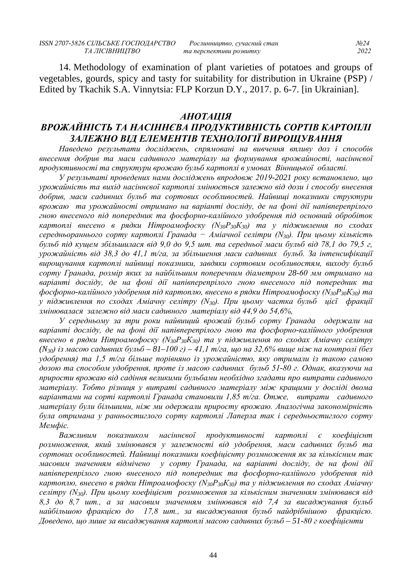14. Methodology of examination of plant varieties of potatoes and groups of vegetables, gourds, spicy and tasty for suitability for distribution in Ukraine (PSP) / Edited by Tkachik S.A. Vinnytsia: FLP Korzun D.Y., 2017. p. 6-7. [in Ukrainian].

#### *АНОТАЦІЯ*

# *ВРОЖАЙНІСТЬ ТА НАСІННЄВА ПРОДУКТИВНІСТЬ СОРТІВ КАРТОПЛІ ЗАЛЕЖНО ВІД ЕЛЕМЕНТІВ ТЕХНОЛОГІЇ ВИРОЩУВАННЯ*

*Наведено результати досліджень, спрямовані на вивчення впливу доз і способів внесення добрив та маси садивного матеріалу на формування врожайності, насіннєвої продуктивності та структури врожаю бульб картоплі в умовах Вінницької області.*

*У результаті проведених нами досліджень впродовж 2019-2021 року встановлено, що урожайність та вихід насіннєвої картоплі змінюється залежно від дози і способу внесення добрив, маси садивних бульб та сортових особливостей. Найвищі показники структури врожаю та урожайності отримано на варіанті досліду, де на фоні дії напівперепрілого гною внесеного під попередник та фосфорно-калійного удобрення під основний обробіток картоплі внесено в рядки Нітроамофоску (N30Р30К30) та у підживлення по сходах середньораннього сорту картоплі Гранада − Аміачної селітри (N30). При цьому кількість бульб під кущем збільшилася від 9,0 до 9,5 шт. та середньої маси бульб від 78,1 до 79,5 г, урожайність від 38,3 до 41,1 т/га, за збільшення маси садивних бульб. За інтенсифікації вирощування картоплі найвищі показники, завдяки сортовим особливостям, виходу бульб сорту Гранада, розмір яких за найбільшим поперечним діаметром 28-60 мм отримано на варіанті досліду, де на фоні дії напівперепрілого гною внесеного під попередник та фосфорно-калійного удобрення під картоплю, внесено в рядки Нітроамофоску (N30Р30К30) та у підживлення по сходах Аміачну селітру (N30). При цьому частка бульб цієї фракції змінювалася залежно від маси садивного матеріалу від 44,9 до 54,6%,* 

*У середньому за три роки найвищий врожай бульб сорту Гранада одержали на варіанті досліду, де на фоні дії напівперепрілого гною та фосфорно-калійного удобрення внесено в рядки Нітроамофоску (N30Р30К30) та у підживлення по сходах Аміачну селітру (N30) із масою садивних бульб – 81–100 г) – 41,1 т/га, що на 32,6% вище ніж на контролі (без удобрення) та 1,5 т/га більше порівняно із урожайністю, яку отримали із такою самою дозою та способом удобрення, проте із масою садивних бульб 51-80 г. Однак, вказуючи на прирости врожаю від садіння великими бульбами необхідно згадати про витрати садивного матеріалу. Тобто різниця у витраті садивного матеріалу між кращими у досліді двома варіантами на сорті картоплі Гранада становили 1,85 т/га. Отже, витрати садивного матеріалу були більшими, ніж ми одержали приросту врожаю. Аналогічна закономірність була отримана у ранньостиглого сорту картоплі Лаперла так і середньостиглого сорту Мемфіс.*

*Важливим показником насіннєвої продуктивності картоплі є коефіцієнт розмноження, який змінювався у залежності від удобрення, маси садивних бульб та сортових особливостей. Найвищі показники коефіцієнту розмноження як за кількісним так масовим значенням відмічено у сорту Гранада, на варіанті досліду, де на фоні дії напівперепрілого гною внесеного під попередник та фосфорно-калійного удобрення під картоплю, внесено в рядки Нітроамофоску (N30Р30К30) та у підживлення по сходах Аміачну селітру (N30). При цьому коефіцієнт розмноження за кількісним значенням змінювався від 8,3 до 8,7 шт., а за масовим значенням змінювався від 7,4 за висаджування бульб найбільшою фракцією до 17,8 шт., за висаджування бульб найдрібнішою фракцією. Доведено, що лише за висаджування картоплі масою садивних бульб – 51-80 г коефіцієнти*